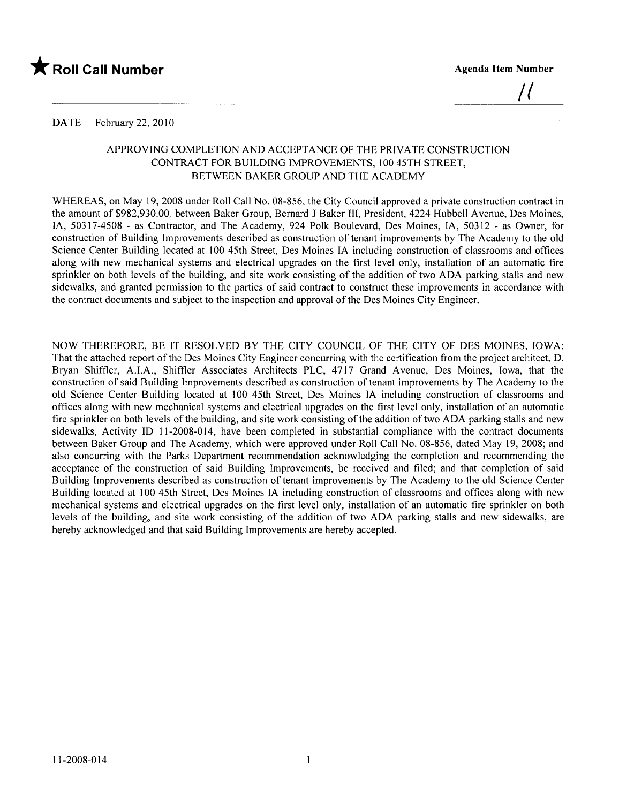

 $\mu$ 

DATE February 22, 2010

### APPROVING COMPLETION AND ACCEPTANCE OF THE PRIVATE CONSTRUCTION CONTRACT FOR BUILDING IMPROVEMENTS, 100 45TH STREET, BETWEEN BAKER GROUP AND THE ACADEMY

WHEREAS, on May 19, 2008 under Roll Call No. 08-856, the City Council approved a private construction contract in the amount of \$982,930.00, between Baker Group, Bernard J Baker Il, President, 4224 Hubbell A venue, Des Moines, lA, 50317-4508 - as Contractor, and The Academy, 924 Polk Boulevard, Des Moines, lA, 50312 - as Owner, for construction of Building Improvements described as construction of tenant improvements by The Academy to the old Science Center Building located at 100 45th Street, Des Moines IA including construction of classrooms and offces along with new mechanical systems and electrical upgrades on the first level only, installation of an automatic fire sprinkler on both levels of the building, and site work consisting of the addition of two ADA parking stalls and new sidewalks, and granted permission to the parties of said contract to construct these improvements in accordance with the contract documents and subject to the inspection and approval of the Des Moines City Engineer.

NOW THEREFORE, BE IT RESOLVED BY THE CITY COUNCIL OF THE CITY OF DES MOINES, IOWA: That the attached report of the Des Moines City Engineer concurring with the certification from the project architect, D. Bryan Shiffer, A.LA., Shiffer Associates Architects PLC, 4717 Grand A venue, Des Moines, Iowa, that the construction of said Building Improvements described as construction of tenant improvements by The Academy to the old Science Center Building located at 100 45th Street, Des Moines IA including construction of classrooms and offces along with new mechanical systems and electrical upgrades on the first level only, installation of an automatic fire sprinkler on both levels of the building, and site work consisting of the addition of two ADA parking stalls and new sidewalks, Activity ID 11-2008-014, have been completed in substantial compliance with the contract documents between Baker Group and The Academy, which were approved under Roll Call No. 08-856, dated May 19, 2008; and also concurring with the Parks Department recommendation acknowledging the completion and recommending the acceptance of the construction of said Building Improvements, be received and filed; and that completion of said Building Improvements described as construction of tenant improvements by The Academy to the old Science Center Building located at 100 45th Street, Des Moines IA including construction of classrooms and offces along with new mechanical systems and electrical upgrades on the first level only, installation of an automatic fire sprinkler on both levels of the building, and site work consisting of the addition of two ADA parking stalls and new sidewalks, are hereby acknowledged and that said Building Improvements are hereby accepted.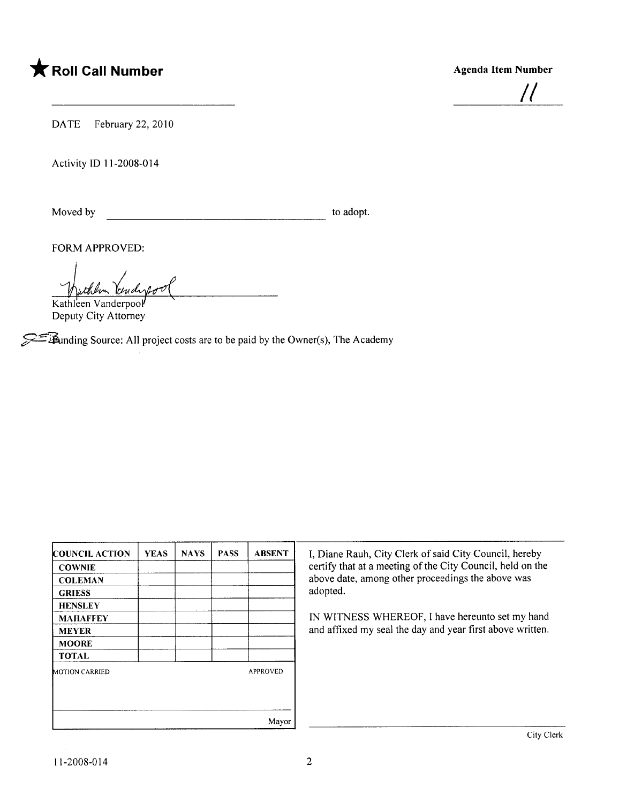# \* Roll Call Number Agenda Item Number

/1

DATE February 22, 2010

Activity ID 11-2008-014

Moved by to adopt.

FORM APPROVED:

Withleen Vanderpool

Deputy City Attorney

**944** 1anding Source: All project costs are to be paid by the Owner(s), The Academy

| COUNCIL ACTION        | <b>YEAS</b> | <b>NAYS</b> | <b>PASS</b> | <b>ABSENT</b>   |
|-----------------------|-------------|-------------|-------------|-----------------|
| <b>COWNIE</b>         |             |             |             |                 |
| <b>COLEMAN</b>        |             |             |             |                 |
| <b>GRIESS</b>         |             |             |             |                 |
| <b>HENSLEY</b>        |             |             |             |                 |
| <b>MAHAFFEY</b>       |             |             |             |                 |
| <b>MEYER</b>          |             |             |             |                 |
| <b>MOORE</b>          |             |             |             |                 |
| <b>TOTAL</b>          |             |             |             |                 |
| <b>MOTION CARRIED</b> |             |             |             | <b>APPROVED</b> |
|                       |             |             |             |                 |
|                       |             |             |             | Mayor           |

I, Diane Rauh, City Clerk of said City Council, hereby certify that at a meeting of the City Council, held on the above date, among other proceedings the above was adopted.

IN WITNESS WHEREOF, I have hereunto set my hand and affixed my seal the day and year first above written.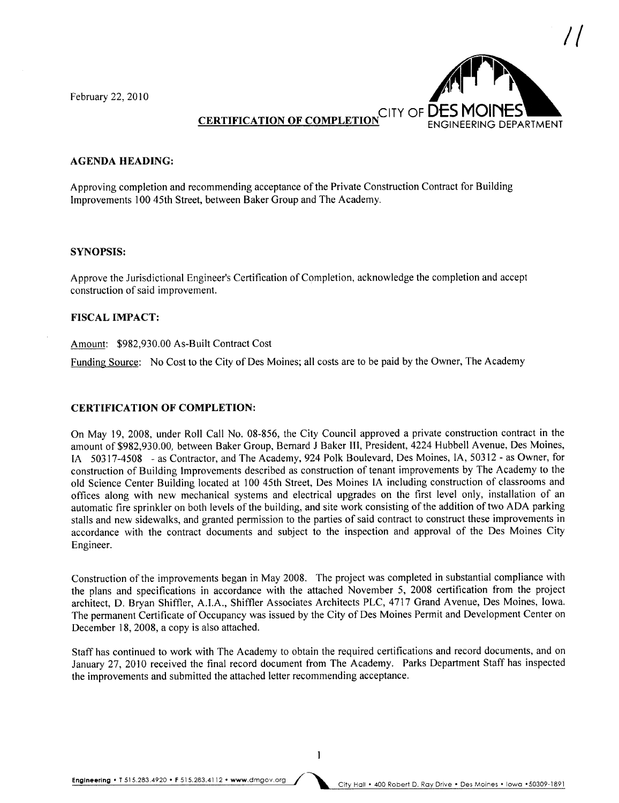February 22, 2010



### AGENDA HEADING:

Approving completion and recommending acceptance of the Private Construction Contract for Building Improvements 100 45th Street, between Baker Group and The Academy.

### SYNOPSIS:

Approve the Jurisdictional Engineer's Certification of Completion, acknowledge the completion and accept construction of said improvement.

### FISCAL IMPACT:

### Amount: \$982,930.00 As-Built Contract Cost

Funding Source: No Cost to the City of Des Moines; all costs are to be paid by the Owner, The Academy

### CERTIFICATION OF COMPLETION:

On May 19, 2008, under Roll Call No. 08-856, the City Council approved a private construction contract in the amount of \$982,930.00, between Baker Group, Bernard J Baker Il, President, 4224 Hubbell A venue, Des Moines, lA 50317-4508 - as Contractor, and The Academy, 924 Polk Boulevard, Des Moines, lA, 50312 - as Owner, for construction of Building Improvements described as construction of tenant improvements by The Academy to the old Science Center Building located at 100 45th Street, Des Moines IA including construction of classrooms and offices along with new mechanical systems and electrical upgrades on the first level only, installation of an automatic fire sprinkler on both levels of the building, and site work consisting of the addition of two ADA parking stalls and new sidewalks, and granted permission to the parties of said contract to construct these improvements in accordance with the contract documents and subject to the inspection and approval of the Des Moines City Engineer.

Construction of the improvements began in May 2008. The project was completed in substantial compliance with the plans and specifications in accordance with the attached November 5, 2008 certification from the project architect, D. Bryan Shiffer, A.LA., Shiffler Associates Architects PLC, 4717 Grand Avenue, Des Moines, Iowa. The permanent Certificate of Occupancy was issued by the City of Des Moines Permit and Development Center on December 18, 2008, a copy is also attached.

Staff has continued to work with The Academy to obtain the required certifications and record documents, and on January 27, 2010 received the final record document from The Academy. Parks Department Staff has inspected the improvements and submitted the attached letter recommending acceptance.

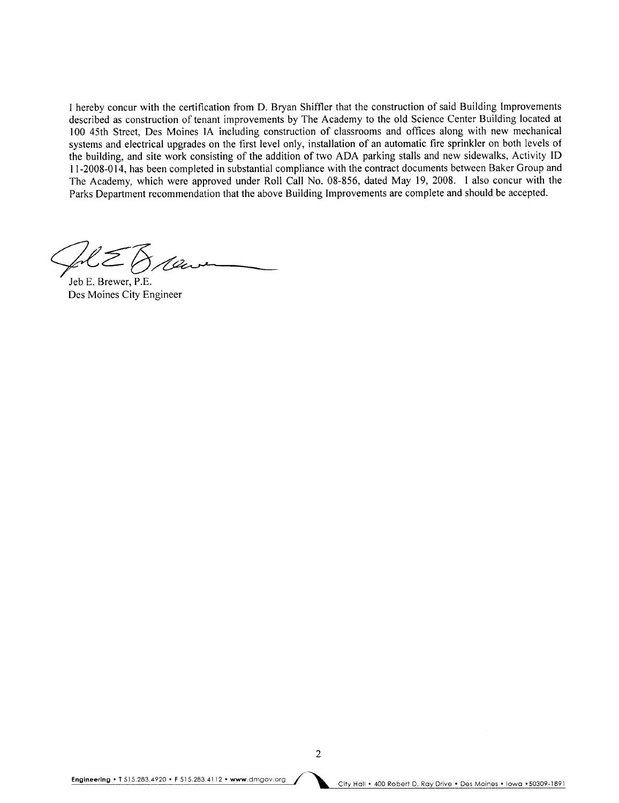I hereby concur with the certification from D. Bryan Shiffer that the construction of said Building Improvements described as construction of tenant improvements by The Academy to the old Science Center Building located at 100 45th Street, Des Moines IA including construction of classrooms and offices along with new mechanical systems and electrical upgrades on the first level only, installation of an automatic fire sprinkler on both levels of the building, and site work consisting of the addition of two ADA parking stalls and new sidewalks, Activity ID 11-2008-014, has been completed in substantial compliance with the contract documents between Baker Group and The Academy, which were approved under Roll Call No. 08-856, dated May 19, 2008. I also concur with the Parks Department recommendation that the above Building Improvements are complete and should be accepted.

Jeb E. Brewer, P.E. Des Moines City Engineer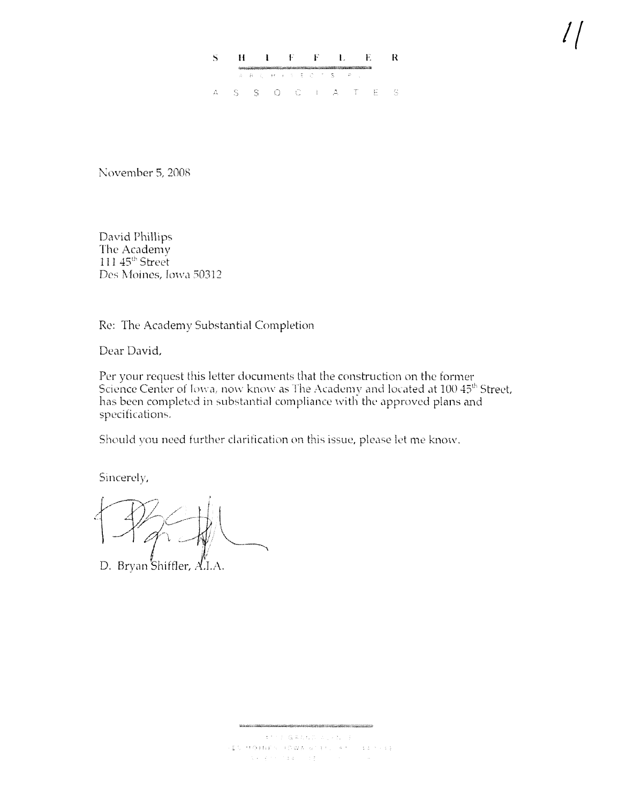### $\tilde{\mathbf{S}}$  $\mathbf{I} = \mathbf{F} - \mathbf{F} = \mathbf{L} = \mathbf{E}$  $\mathbf R$  $H$  $A - B - C$  . Hence,  $A - E - C - C$  is  $S$  $S-S=O-C-1-A-T-E \mathbb{C}^{\mathbb{C}}$  $\Delta$  .

November 5, 2008

David Phillips The Academy 111 45<sup>th</sup> Street Des Moines, Iowa 50312

Re: The Academy Substantial Completion

Dear David.

Per your request this letter documents that the construction on the former Science Center of Iowa, now know as The Academy and located at 100 45<sup>th</sup> Street, has been completed in substantial compliance with the approved plans and specifications.

Should you need further clarification on this issue, please let me know.

Sincerely,

D. Bryan Shiffler, A.I.A.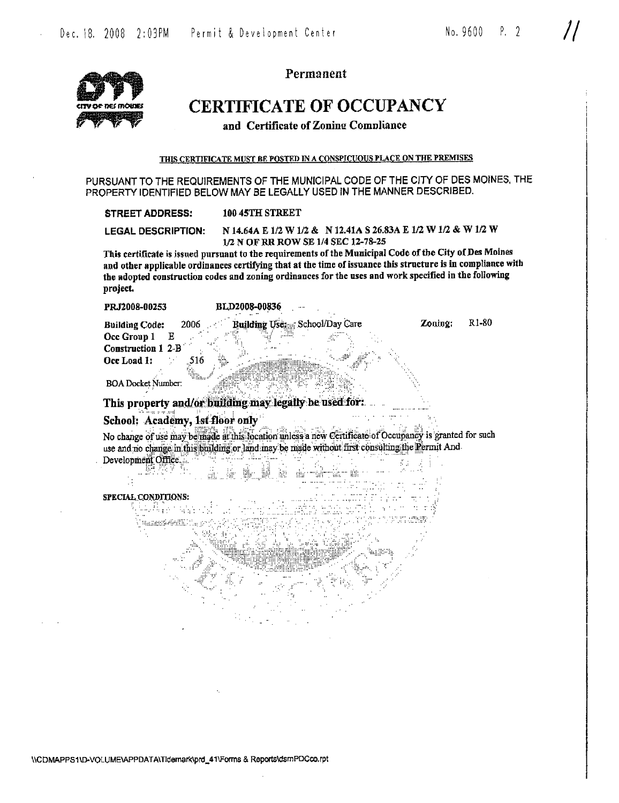

Permanent

## **CERTIFICATE OF OCCUPANCY**

and Certificate of Zoning Compliance

THIS CERTIFICATE MUST BE POSTED IN A CONSPICUOUS PLACE ON THE PREMISES

PURSUANT TO THE REQUIREMENTS OF THE MUNICIPAL CODE OF THE CITY OF DES MOINES. THE PROPERTY IDENTIFIED BELOW MAY BE LEGALLY USED IN THE MANNER DESCRIBED.

 $\cdots$   $\cdots$ 

| N 14.64A E 1/2 W 1/2 & N 12.41A S 26.83A E 1/2 W 1/2 & W 1/2 W<br><b>LEGAL DESCRIPTION:</b><br>1/2 N OF RR ROW SE 1/4 SEC 12-78-25<br>This certificate is issued pursuant to the requirements of the Municipal Code of the City of Des Moines<br>and other applicable ordinances certifying that at the time of issuance this structure is in compliance with |                                                                                                       |  |  |  |  |  |  |  |
|---------------------------------------------------------------------------------------------------------------------------------------------------------------------------------------------------------------------------------------------------------------------------------------------------------------------------------------------------------------|-------------------------------------------------------------------------------------------------------|--|--|--|--|--|--|--|
|                                                                                                                                                                                                                                                                                                                                                               |                                                                                                       |  |  |  |  |  |  |  |
| project.                                                                                                                                                                                                                                                                                                                                                      | the adopted construction codes and zoning ordinances for the uses and work specified in the following |  |  |  |  |  |  |  |
| PRJ2008-00253                                                                                                                                                                                                                                                                                                                                                 | <b>BLD2008-00836</b>                                                                                  |  |  |  |  |  |  |  |

**BOA Docket Number** 

Construction 1 2-B Occ Load 1:

This property and/or building may legally be used for:

 $\sim$  and  $\rm{MeV}$ 

## School: Academy, 1st floor only

.516 ١.

No change of use may be made at this focation unless a new Certificate of Occupancy is granted for such use and no change in this building or land may be made without first consulting the Permit And Development Office. si ngawijing w M kome

### SPECIAL CONDITIONS:

÷,

嚴恐

되다 뭐듬 아 넣습 ' mazaboréndik

\\CDMAPPS1\D-VQLUME\APPDATA\Tidemark\prd\_41\Forms & Reports\dsmPDCco.rpt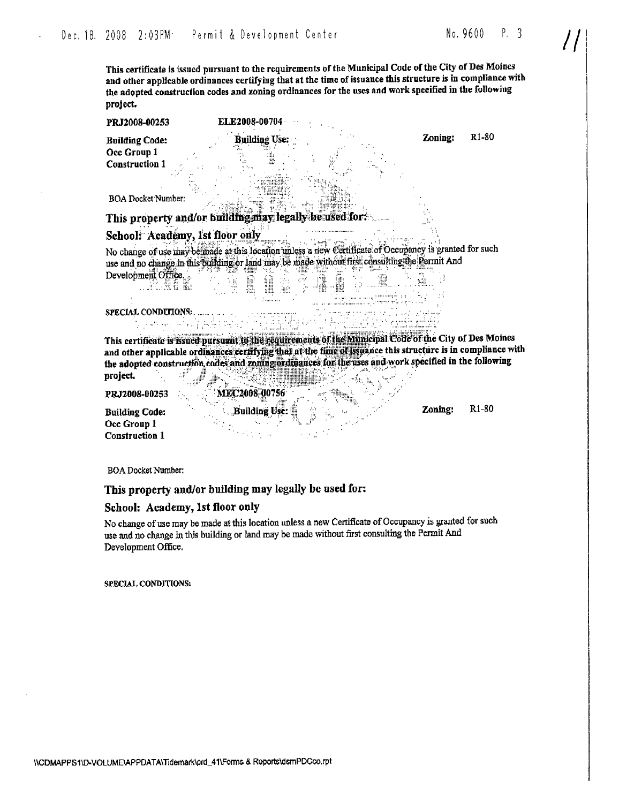This certificate is issued pursuant to the requirements of the Municipal Code of the City of Des Moines and other applicable ordinances certifying that at the time of issuance this structure is in compliance with the adopted construction codes and zoning ordinances for the uses and work specified in the following project.

**Building Code:** Occ Group 1 **Construction 1** 

R1-80 Zoning:

**BOA Docket Number:** 

This property and/or building may legally be used for:

ELE2008-00704

**Building Use:** 

-35

 $\gamma$ 

### School: Academy, 1st floor only

containing for

No change of use may be made at this location unless a new Certificate of Occupancy is granted for such use and no change in this building or land may be made without first consulting the Permit And Development Office.

SPECIAL CONDUITONS:

w. Kumber Bu

This certificate is issued pursuant to the requirements of the Municipal Code of the City of Des Moines and other applicable ordinances certifying that at the time of issuance this structure is in compliance with the adopted construction codes and zoning ordinances for the uses and work specified in the following <u>osyandi</u> project.  $\sim 0$ 

PRJ2008-00253

MEC2008-00756 **Building Use:** 

ran na Bar

R1-80 Zoning:

**Building Code:** Occ Group 1 **Construction 1** 

**BOA Docket Number:** 

### This property and/or building may legally be used for:

### School: Academy, 1st floor only

No change of use may be made at this location unless a new Certificate of Occupancy is granted for such use and no change in this building or land may be made without first consulting the Permit And Development Office.

SPECIAL CONDITIONS: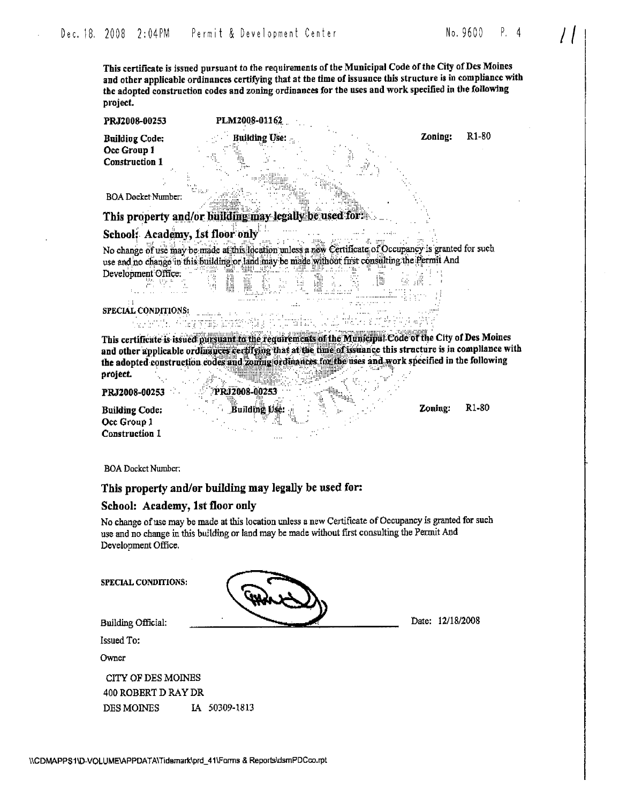R<sub>1</sub>-80

This certificate is issued pursuant to the requirements of the Municipal Code of the City of Des Moines and other applicable ordinances certifying that at the time of issuance this structure is in compliance with the adopted construction codes and zoning ordinances for the uses and work specified in the following project.

PRJ2008-00253

**Building Code:** Occ Group 1 **Construction 1** 

Zoning:

**BOA Docket Number:** 

This property and/or building may legally be used for:

grofi, Krieg vnijs, kražn Algos v Vo

PLM2008-01162 **Building Use:** 

## School: Academy, 1st floor only

325.

 $\sim 10$ No change of use may be made at this location unless a new Certificate of Occupancy is granted for such use and no change in this building or land may be made without first consulting the Permit And NHE S Development Office:

 $\mathbb{Z}(\mathbb{Z})$ 

SPECIAL CONDITIONS: A.

This certificate is issued pursuant to the requirements of the Municipal Code of the City of Des Moines and other applicable ordinances certifying that at the time of issuance this structure is in compliance with the adopted construction codes and zoning ordinances for the uses and work specified in the following **MINERAL** project. **The Contract of the Contract of the Contract of the Contract of the Contract of the Contract of T** 

-n<sub>n</sub>

961 a 107

PRJ2008-00253

**Building Code:** Occ Group 1 **Construction 1** 

R<sub>1</sub>-80 Zoning:

**BOA Docket Number:** 

### This property and/or building may legally be used for:

PRIZ008-00253

Building Use:

### School: Academy, 1st floor only

No change of use may be made at this location unless a new Certificate of Occupancy is granted for such use and no change in this building or land may be made without first consulting the Permit And Development Office.

| <b>SPECIAL CONDITIONS:</b> |               |                  |
|----------------------------|---------------|------------------|
| <b>Building Official:</b>  |               | Date: 12/18/2008 |
| <b>Issued To:</b>          |               |                  |
| Owner                      |               |                  |
| CITY OF DES MOINES         |               |                  |
| 400 ROBERT D RAY DR        |               |                  |
| <b>DES MOINES</b>          | IA 50309-1813 |                  |